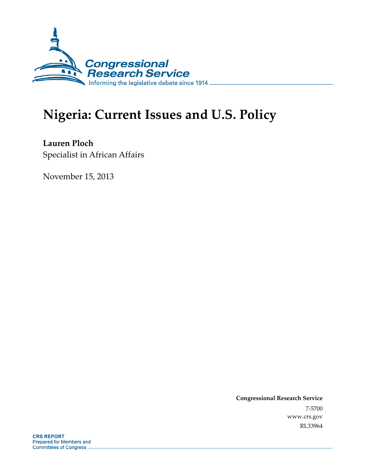

# **Nigeria: Current Issues and U.S. Policy**

**Lauren Ploch**  Specialist in African Affairs

November 15, 2013

**Congressional Research Service**  7-5700 www.crs.gov RL33964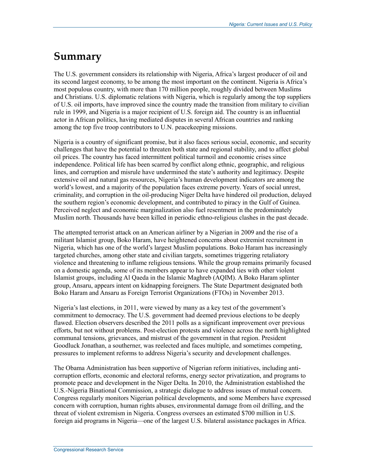## **Summary**

The U.S. government considers its relationship with Nigeria, Africa's largest producer of oil and its second largest economy, to be among the most important on the continent. Nigeria is Africa's most populous country, with more than 170 million people, roughly divided between Muslims and Christians. U.S. diplomatic relations with Nigeria, which is regularly among the top suppliers of U.S. oil imports, have improved since the country made the transition from military to civilian rule in 1999, and Nigeria is a major recipient of U.S. foreign aid. The country is an influential actor in African politics, having mediated disputes in several African countries and ranking among the top five troop contributors to U.N. peacekeeping missions.

Nigeria is a country of significant promise, but it also faces serious social, economic, and security challenges that have the potential to threaten both state and regional stability, and to affect global oil prices. The country has faced intermittent political turmoil and economic crises since independence. Political life has been scarred by conflict along ethnic, geographic, and religious lines, and corruption and misrule have undermined the state's authority and legitimacy. Despite extensive oil and natural gas resources, Nigeria's human development indicators are among the world's lowest, and a majority of the population faces extreme poverty. Years of social unrest, criminality, and corruption in the oil-producing Niger Delta have hindered oil production, delayed the southern region's economic development, and contributed to piracy in the Gulf of Guinea. Perceived neglect and economic marginalization also fuel resentment in the predominately Muslim north. Thousands have been killed in periodic ethno-religious clashes in the past decade.

The attempted terrorist attack on an American airliner by a Nigerian in 2009 and the rise of a militant Islamist group, Boko Haram, have heightened concerns about extremist recruitment in Nigeria, which has one of the world's largest Muslim populations. Boko Haram has increasingly targeted churches, among other state and civilian targets, sometimes triggering retaliatory violence and threatening to inflame religious tensions. While the group remains primarily focused on a domestic agenda, some of its members appear to have expanded ties with other violent Islamist groups, including Al Qaeda in the Islamic Maghreb (AQIM). A Boko Haram splinter group, Ansaru, appears intent on kidnapping foreigners. The State Department designated both Boko Haram and Ansaru as Foreign Terrorist Organizations (FTOs) in November 2013.

Nigeria's last elections, in 2011, were viewed by many as a key test of the government's commitment to democracy. The U.S. government had deemed previous elections to be deeply flawed. Election observers described the 2011 polls as a significant improvement over previous efforts, but not without problems. Post-election protests and violence across the north highlighted communal tensions, grievances, and mistrust of the government in that region. President Goodluck Jonathan, a southerner, was reelected and faces multiple, and sometimes competing, pressures to implement reforms to address Nigeria's security and development challenges.

The Obama Administration has been supportive of Nigerian reform initiatives, including anticorruption efforts, economic and electoral reforms, energy sector privatization, and programs to promote peace and development in the Niger Delta. In 2010, the Administration established the U.S.-Nigeria Binational Commission, a strategic dialogue to address issues of mutual concern. Congress regularly monitors Nigerian political developments, and some Members have expressed concern with corruption, human rights abuses, environmental damage from oil drilling, and the threat of violent extremism in Nigeria. Congress oversees an estimated \$700 million in U.S. foreign aid programs in Nigeria—one of the largest U.S. bilateral assistance packages in Africa.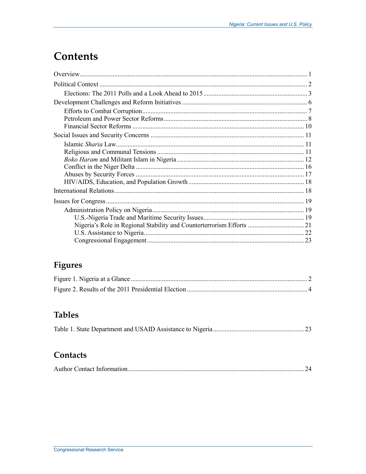## **Contents**

### Figures

### **Tables**

### Contacts

|--|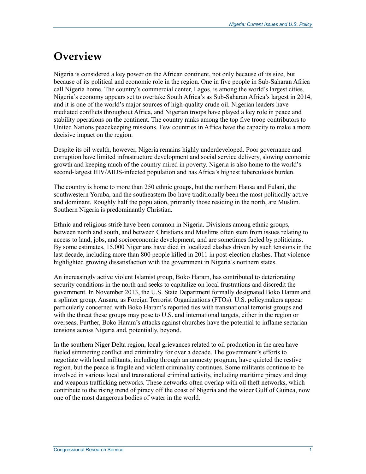## **Overview**

Nigeria is considered a key power on the African continent, not only because of its size, but because of its political and economic role in the region. One in five people in Sub-Saharan Africa call Nigeria home. The country's commercial center, Lagos, is among the world's largest cities. Nigeria's economy appears set to overtake South Africa's as Sub-Saharan Africa's largest in 2014, and it is one of the world's major sources of high-quality crude oil. Nigerian leaders have mediated conflicts throughout Africa, and Nigerian troops have played a key role in peace and stability operations on the continent. The country ranks among the top five troop contributors to United Nations peacekeeping missions. Few countries in Africa have the capacity to make a more decisive impact on the region.

Despite its oil wealth, however, Nigeria remains highly underdeveloped. Poor governance and corruption have limited infrastructure development and social service delivery, slowing economic growth and keeping much of the country mired in poverty. Nigeria is also home to the world's second-largest HIV/AIDS-infected population and has Africa's highest tuberculosis burden.

The country is home to more than 250 ethnic groups, but the northern Hausa and Fulani, the southwestern Yoruba, and the southeastern Ibo have traditionally been the most politically active and dominant. Roughly half the population, primarily those residing in the north, are Muslim. Southern Nigeria is predominantly Christian.

Ethnic and religious strife have been common in Nigeria. Divisions among ethnic groups, between north and south, and between Christians and Muslims often stem from issues relating to access to land, jobs, and socioeconomic development, and are sometimes fueled by politicians. By some estimates, 15,000 Nigerians have died in localized clashes driven by such tensions in the last decade, including more than 800 people killed in 2011 in post-election clashes. That violence highlighted growing dissatisfaction with the government in Nigeria's northern states.

An increasingly active violent Islamist group, Boko Haram, has contributed to deteriorating security conditions in the north and seeks to capitalize on local frustrations and discredit the government. In November 2013, the U.S. State Department formally designated Boko Haram and a splinter group, Ansaru, as Foreign Terrorist Organizations (FTOs). U.S. policymakers appear particularly concerned with Boko Haram's reported ties with transnational terrorist groups and with the threat these groups may pose to U.S. and international targets, either in the region or overseas. Further, Boko Haram's attacks against churches have the potential to inflame sectarian tensions across Nigeria and, potentially, beyond.

In the southern Niger Delta region, local grievances related to oil production in the area have fueled simmering conflict and criminality for over a decade. The government's efforts to negotiate with local militants, including through an amnesty program, have quieted the restive region, but the peace is fragile and violent criminality continues. Some militants continue to be involved in various local and transnational criminal activity, including maritime piracy and drug and weapons trafficking networks. These networks often overlap with oil theft networks, which contribute to the rising trend of piracy off the coast of Nigeria and the wider Gulf of Guinea, now one of the most dangerous bodies of water in the world.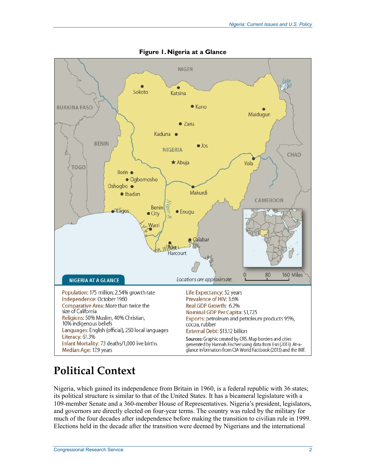

**Figure 1. Nigeria at a Glance** 

## **Political Context**

Nigeria, which gained its independence from Britain in 1960, is a federal republic with 36 states; its political structure is similar to that of the United States. It has a bicameral legislature with a 109-member Senate and a 360-member House of Representatives. Nigeria's president, legislators, and governors are directly elected on four-year terms. The country was ruled by the military for much of the four decades after independence before making the transition to civilian rule in 1999. Elections held in the decade after the transition were deemed by Nigerians and the international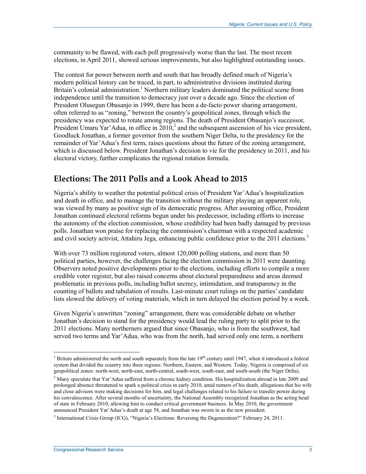community to be flawed, with each poll progressively worse than the last. The most recent elections, in April 2011, showed serious improvements, but also highlighted outstanding issues.

The contest for power between north and south that has broadly defined much of Nigeria's modern political history can be traced, in part, to administrative divisions instituted during Britain's colonial administration.<sup>1</sup> Northern military leaders dominated the political scene from independence until the transition to democracy just over a decade ago. Since the election of President Olusegun Obasanjo in 1999, there has been a de-facto power sharing arrangement, often referred to as "zoning," between the country's geopolitical zones, through which the presidency was expected to rotate among regions. The death of President Obasanjo's successor, President Umaru Yar'Adua, in office in  $2010<sub>1</sub><sup>2</sup>$  and the subsequent ascension of his vice president, Goodluck Jonathan, a former governor from the southern Niger Delta, to the presidency for the remainder of Yar'Adua's first term, raises questions about the future of the zoning arrangement, which is discussed below. President Jonathan's decision to vie for the presidency in 2011, and his electoral victory, further complicates the regional rotation formula.

#### **Elections: The 2011 Polls and a Look Ahead to 2015**

Nigeria's ability to weather the potential political crisis of President Yar'Adua's hospitalization and death in office, and to manage the transition without the military playing an apparent role, was viewed by many as positive sign of its democratic progress. After assuming office, President Jonathan continued electoral reforms begun under his predecessor, including efforts to increase the autonomy of the election commission, whose credibility had been badly damaged by previous polls. Jonathan won praise for replacing the commission's chairman with a respected academic and civil society activist, Attahiru Jega, enhancing public confidence prior to the 2011 elections.<sup>3</sup>

With over 73 million registered voters, almost 120,000 polling stations, and more than 50 political parties, however, the challenges facing the election commission in 2011 were daunting. Observers noted positive developments prior to the elections, including efforts to compile a more credible voter register, but also raised concerns about electoral preparedness and areas deemed problematic in previous polls, including ballot secrecy, intimidation, and transparency in the counting of ballots and tabulation of results. Last-minute court rulings on the parties' candidate lists slowed the delivery of voting materials, which in turn delayed the election period by a week.

Given Nigeria's unwritten "zoning" arrangement, there was considerable debate on whether Jonathan's decision to stand for the presidency would lead the ruling party to split prior to the 2011 elections. Many northerners argued that since Obasanjo, who is from the southwest, had served two terms and Yar'Adua, who was from the north, had served only one term, a northern

<sup>&</sup>lt;sup>1</sup> Britain administered the north and south separately from the late  $19<sup>th</sup>$  century until 1947, when it introduced a federal system that divided the country into three regions: Northern, Eastern, and Western. Today, Nigeria is comprised of six geopolitical zones: north-west, north-east, north-central, south-west, south-east, and south-south (the Niger Delta).

<sup>&</sup>lt;sup>2</sup> Many speculate that Yar'Adua suffered from a chronic kidney condition. His hospitalization abroad in late 2009 and prolonged absence threatened to spark a political crisis in early 2010, amid rumors of his death, allegations that his wife and close advisors were making decisions for him, and legal challenges related to his failure to transfer power during his convalescence. After several months of uncertainty, the National Assembly recognized Jonathan as the acting head of state in February 2010, allowing him to conduct critical government business. In May 2010, the government announced President Yar'Adua's death at age 58, and Jonathan was sworn in as the new president.

<sup>&</sup>lt;sup>3</sup> International Crisis Group (ICG), "Nigeria's Elections: Reversing the Degeneration?" February 24, 2011.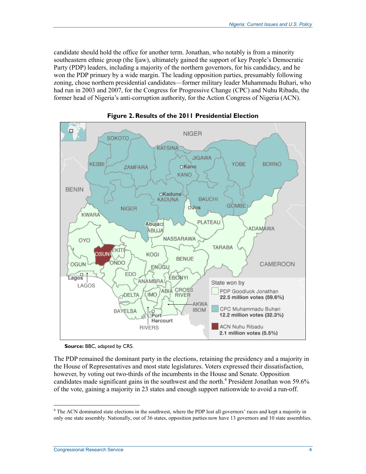candidate should hold the office for another term. Jonathan, who notably is from a minority southeastern ethnic group (the Ijaw), ultimately gained the support of key People's Democratic Party (PDP) leaders, including a majority of the northern governors, for his candidacy, and he won the PDP primary by a wide margin. The leading opposition parties, presumably following zoning, chose northern presidential candidates—former military leader Muhammadu Buhari, who had run in 2003 and 2007, for the Congress for Progressive Change (CPC) and Nuhu Ribadu, the former head of Nigeria's anti-corruption authority, for the Action Congress of Nigeria (ACN).



**Figure 2. Results of the 2011 Presidential Election** 

**Source:** BBC, adapted by CRS.

The PDP remained the dominant party in the elections, retaining the presidency and a majority in the House of Representatives and most state legislatures. Voters expressed their dissatisfaction, however, by voting out two-thirds of the incumbents in the House and Senate. Opposition candidates made significant gains in the southwest and the north.<sup>4</sup> President Jonathan won 59.6% of the vote, gaining a majority in 23 states and enough support nationwide to avoid a run-off.

The ACN dominated state elections in the southwest, where the PDP lost all governors' races and kept a majority in only one state assembly. Nationally, out of 36 states, opposition parties now have 13 governors and 10 state assemblies.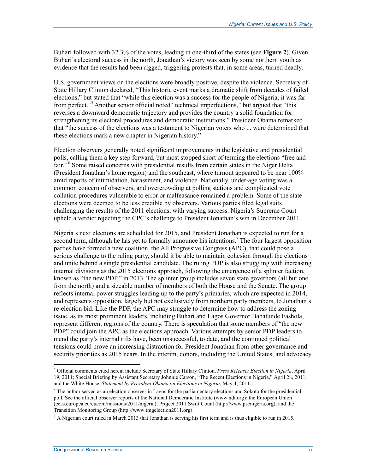Buhari followed with 32.3% of the votes, leading in one-third of the states (see **Figure 2**). Given Buhari's electoral success in the north, Jonathan's victory was seen by some northern youth as evidence that the results had been rigged, triggering protests that, in some areas, turned deadly.

U.S. government views on the elections were broadly positive, despite the violence. Secretary of State Hillary Clinton declared, "This historic event marks a dramatic shift from decades of failed elections," but stated that "while this election was a success for the people of Nigeria, it was far from perfect."<sup>5</sup> Another senior official noted "technical imperfections," but argued that "this reverses a downward democratic trajectory and provides the country a solid foundation for strengthening its electoral procedures and democratic institutions." President Obama remarked that "the success of the elections was a testament to Nigerian voters who ... were determined that these elections mark a new chapter in Nigerian history."

Election observers generally noted significant improvements in the legislative and presidential polls, calling them a key step forward, but most stopped short of terming the elections "free and fair." 6 Some raised concerns with presidential results from certain states in the Niger Delta (President Jonathan's home region) and the southeast, where turnout appeared to be near 100% amid reports of intimidation, harassment, and violence. Nationally, under-age voting was a common concern of observers, and overcrowding at polling stations and complicated vote collation procedures vulnerable to error or malfeasance remained a problem. Some of the state elections were deemed to be less credible by observers. Various parties filed legal suits challenging the results of the 2011 elections, with varying success. Nigeria's Supreme Court upheld a verdict rejecting the CPC's challenge to President Jonathan's win in December 2011.

Nigeria's next elections are scheduled for 2015, and President Jonathan is expected to run for a second term, although he has yet to formally announce his intentions.<sup>7</sup> The four largest opposition parties have formed a new coalition, the All Progressive Congress (APC), that could pose a serious challenge to the ruling party, should it be able to maintain cohesion through the elections and unite behind a single presidential candidate. The ruling PDP is also struggling with increasing internal divisions as the 2015 elections approach, following the emergence of a splinter faction, known as "the new PDP," in 2013. The splinter group includes seven state governors (all but one from the north) and a sizeable number of members of both the House and the Senate. The group reflects internal power struggles leading up to the party's primaries, which are expected in 2014, and represents opposition, largely but not exclusively from northern party members, to Jonathan's re-election bid. Like the PDP, the APC may struggle to determine how to address the zoning issue, as its most prominent leaders, including Buhari and Lagos Governor Babatunde Fashola, represent different regions of the country. There is speculation that some members of "the new PDP" could join the APC as the elections approach. Various attempts by senior PDP leaders to mend the party's internal rifts have, been unsuccessful, to date, and the continued political tensions could prove an increasing distraction for President Jonathan from other governance and security priorities as 2015 nears. In the interim, donors, including the United States, and advocacy

 5 Official comments cited herein include Secretary of State Hillary Clinton, *Press Release: Election in Nigeria*, April 19, 2011; Special Briefing by Assistant Secretary Johnnie Carson, "The Recent Elections in Nigeria," April 28, 2011; and the White House, *Statement by President Obama on Elections in Nigeria*, May 4, 2011.

<sup>&</sup>lt;sup>6</sup> The author served as an election observer in Lagos for the parliamentary elections and Sokoto for the presidential poll. See the official observer reports of the National Democratic Institute (www.ndi.org); the European Union (eeas.europea.eu/eueom/missions/2011/nigeria); Project 2011 Swift Count (http://www.pscnigeria.org); and the Transition Monitoring Group (http://www.tmgelection2011.org).

 $^7$  A Nigerian court ruled in March 2013 that Jonathan is serving his first term and is thus eligible to run in 2015.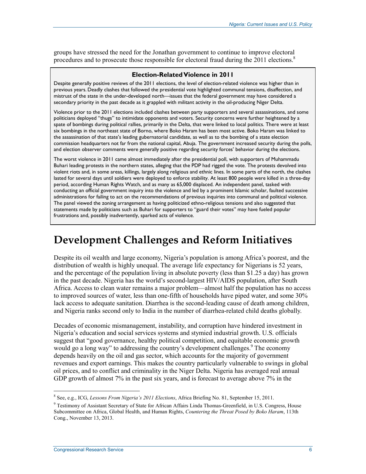groups have stressed the need for the Jonathan government to continue to improve electoral procedures and to prosecute those responsible for electoral fraud during the  $2011$  elections.<sup>8</sup>

#### **Election-Related Violence in 2011**

Despite generally positive reviews of the 2011 elections, the level of election-related violence was higher than in previous years. Deadly clashes that followed the presidential vote highlighted communal tensions, disaffection, and mistrust of the state in the under-developed north—issues that the federal government may have considered a secondary priority in the past decade as it grappled with militant activity in the oil-producing Niger Delta.

Violence prior to the 2011 elections included clashes between party supporters and several assassinations, and some politicians deployed "thugs" to intimidate opponents and voters. Security concerns were further heightened by a spate of bombings during political rallies, primarily in the Delta, that were linked to local politics. There were at least six bombings in the northeast state of Borno, where Boko Haram has been most active. Boko Haram was linked to the assassination of that state's leading gubernatorial candidate, as well as to the bombing of a state election commission headquarters not far from the national capital, Abuja. The government increased security during the polls, and election observer comments were generally positive regarding security forces' behavior during the elections.

The worst violence in 2011 came almost immediately after the presidential poll, with supporters of Muhammadu Buhari leading protests in the northern states, alleging that the PDP had rigged the vote. The protests devolved into violent riots and, in some areas, killings, largely along religious and ethnic lines. In some parts of the north, the clashes lasted for several days until soldiers were deployed to enforce stability. At least 800 people were killed in a three-day period, according Human Rights Watch, and as many as 65,000 displaced. An independent panel, tasked with conducting an official government inquiry into the violence and led by a prominent Islamic scholar, faulted successive administrations for failing to act on the recommendations of previous inquiries into communal and political violence. The panel viewed the zoning arrangement as having politicized ethno-religious tensions and also suggested that statements made by politicians such as Buhari for supporters to "guard their votes" may have fueled popular frustrations and, possibly inadvertently, sparked acts of violence.

## **Development Challenges and Reform Initiatives**

Despite its oil wealth and large economy, Nigeria's population is among Africa's poorest, and the distribution of wealth is highly unequal. The average life expectancy for Nigerians is 52 years, and the percentage of the population living in absolute poverty (less than \$1.25 a day) has grown in the past decade. Nigeria has the world's second-largest HIV/AIDS population, after South Africa. Access to clean water remains a major problem—almost half the population has no access to improved sources of water, less than one-fifth of households have piped water, and some 30% lack access to adequate sanitation. Diarrhea is the second-leading cause of death among children, and Nigeria ranks second only to India in the number of diarrhea-related child deaths globally.

Decades of economic mismanagement, instability, and corruption have hindered investment in Nigeria's education and social services systems and stymied industrial growth. U.S. officials suggest that "good governance, healthy political competition, and equitable economic growth would go a long way" to addressing the country's development challenges.<sup>9</sup> The economy depends heavily on the oil and gas sector, which accounts for the majority of government revenues and export earnings. This makes the country particularly vulnerable to swings in global oil prices, and to conflict and criminality in the Niger Delta. Nigeria has averaged real annual GDP growth of almost 7% in the past six years, and is forecast to average above 7% in the

<sup>8</sup> See, e.g., ICG, *Lessons From Nigeria's 2011 Elections*, Africa Briefing No. 81, September 15, 2011.

<sup>&</sup>lt;sup>9</sup> Testimony of Assistant Secretary of State for African Affairs Linda Thomas-Greenfield, in U.S. Congress, House Subcommittee on Africa, Global Health, and Human Rights, *Countering the Threat Posed by Boko Haram*, 113th Cong., November 13, 2013.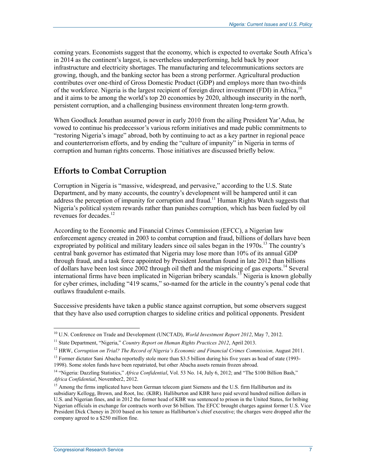coming years. Economists suggest that the economy, which is expected to overtake South Africa's in 2014 as the continent's largest, is nevertheless underperforming, held back by poor infrastructure and electricity shortages. The manufacturing and telecommunications sectors are growing, though, and the banking sector has been a strong performer. Agricultural production contributes over one-third of Gross Domestic Product (GDP) and employs more than two-thirds of the workforce. Nigeria is the largest recipient of foreign direct investment (FDI) in Africa,<sup>10</sup> and it aims to be among the world's top 20 economies by 2020, although insecurity in the north, persistent corruption, and a challenging business environment threaten long-term growth.

When Goodluck Jonathan assumed power in early 2010 from the ailing President Yar'Adua, he vowed to continue his predecessor's various reform initiatives and made public commitments to "restoring Nigeria's image" abroad, both by continuing to act as a key partner in regional peace and counterterrorism efforts, and by ending the "culture of impunity" in Nigeria in terms of corruption and human rights concerns. Those initiatives are discussed briefly below.

### **Efforts to Combat Corruption**

Corruption in Nigeria is "massive, widespread, and pervasive," according to the U.S. State Department, and by many accounts, the country's development will be hampered until it can address the perception of impunity for corruption and fraud.<sup>11</sup> Human Rights Watch suggests that Nigeria's political system rewards rather than punishes corruption, which has been fueled by oil revenues for decades.<sup>12</sup>

According to the Economic and Financial Crimes Commission (EFCC), a Nigerian law enforcement agency created in 2003 to combat corruption and fraud, billions of dollars have been expropriated by political and military leaders since oil sales began in the 1970s.<sup>13</sup> The country's central bank governor has estimated that Nigeria may lose more than 10% of its annual GDP through fraud, and a task force appointed by President Jonathan found in late 2012 than billions of dollars have been lost since 2002 through oil theft and the mispricing of gas exports.<sup>14</sup> Several international firms have been implicated in Nigerian bribery scandals.<sup>15</sup> Nigeria is known globally for cyber crimes, including "419 scams," so-named for the article in the country's penal code that outlaws fraudulent e-mails.

Successive presidents have taken a public stance against corruption, but some observers suggest that they have also used corruption charges to sideline critics and political opponents. President

<u>.</u>

<sup>10</sup> U.N. Conference on Trade and Development (UNCTAD), *World Investment Report 2012*, May 7, 2012.

<sup>&</sup>lt;sup>11</sup> State Department, "Nigeria," *Country Report on Human Rights Practices 2012*, April 2013.

<sup>12</sup> HRW, *Corruption on Trial? The Record of Nigeria's Economic and Financial Crimes Commission,* August 2011.

 $13$  Former dictator Sani Abacha reportedly stole more than \$3.5 billion during his five years as head of state (1993-1998). Some stolen funds have been repatriated, but other Abacha assets remain frozen abroad.

<sup>14 &</sup>quot;Nigeria: Dazzling Statistics," *Africa Confidential*, Vol. 53 No. 14, July 6, 2012; and "The \$100 Billion Bash," *Africa Confidential*, November2, 2012.

<sup>&</sup>lt;sup>15</sup> Among the firms implicated have been German telecom giant Siemens and the U.S. firm Halliburton and its subsidiary Kellogg, Brown, and Root, Inc. (KBR). Halliburton and KBR have paid several hundred million dollars in U.S. and Nigerian fines, and in 2012 the former head of KBR was sentenced to prison in the United States, for bribing Nigerian officials in exchange for contracts worth over \$6 billion. The EFCC brought charges against former U.S. Vice President Dick Cheney in 2010 based on his tenure as Halliburton's chief executive; the charges were dropped after the company agreed to a \$250 million fine.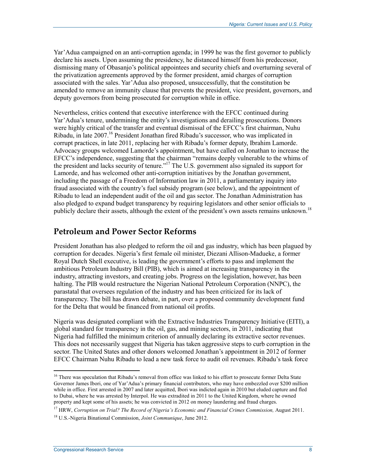Yar'Adua campaigned on an anti-corruption agenda; in 1999 he was the first governor to publicly declare his assets. Upon assuming the presidency, he distanced himself from his predecessor, dismissing many of Obasanjo's political appointees and security chiefs and overturning several of the privatization agreements approved by the former president, amid charges of corruption associated with the sales. Yar'Adua also proposed, unsuccessfully, that the constitution be amended to remove an immunity clause that prevents the president, vice president, governors, and deputy governors from being prosecuted for corruption while in office.

Nevertheless, critics contend that executive interference with the EFCC continued during Yar'Adua's tenure, undermining the entity's investigations and derailing prosecutions. Donors were highly critical of the transfer and eventual dismissal of the EFCC's first chairman, Nuhu Ribadu, in late 2007.16 President Jonathan fired Ribadu's successor, who was implicated in corrupt practices, in late 2011, replacing her with Ribadu's former deputy, Ibrahim Lamorde. Advocacy groups welcomed Lamorde's appointment, but have called on Jonathan to increase the EFCC's independence, suggesting that the chairman "remains deeply vulnerable to the whims of the president and lacks security of tenure."17 The U.S. government also signaled its support for Lamorde, and has welcomed other anti-corruption initiatives by the Jonathan government, including the passage of a Freedom of Information law in 2011, a parliamentary inquiry into fraud associated with the country's fuel subsidy program (see below), and the appointment of Ribadu to lead an independent audit of the oil and gas sector. The Jonathan Administration has also pledged to expand budget transparency by requiring legislators and other senior officials to publicly declare their assets, although the extent of the president's own assets remains unknown.<sup>18</sup>

#### **Petroleum and Power Sector Reforms**

President Jonathan has also pledged to reform the oil and gas industry, which has been plagued by corruption for decades. Nigeria's first female oil minister, Diezani Allison-Madueke, a former Royal Dutch Shell executive, is leading the government's efforts to pass and implement the ambitious Petroleum Industry Bill (PIB), which is aimed at increasing transparency in the industry, attracting investors, and creating jobs. Progress on the legislation, however, has been halting. The PIB would restructure the Nigerian National Petroleum Corporation (NNPC), the parastatal that oversees regulation of the industry and has been criticized for its lack of transparency. The bill has drawn debate, in part, over a proposed community development fund for the Delta that would be financed from national oil profits.

Nigeria was designated compliant with the Extractive Industries Transparency Initiative (EITI), a global standard for transparency in the oil, gas, and mining sectors, in 2011, indicating that Nigeria had fulfilled the minimum criterion of annually declaring its extractive sector revenues. This does not necessarily suggest that Nigeria has taken aggressive steps to curb corruption in the sector. The United States and other donors welcomed Jonathan's appointment in 2012 of former EFCC Chairman Nuhu Ribadu to lead a new task force to audit oil revenues. Ribadu's task force

17 HRW, *Corruption on Trial? The Record of Nigeria's Economic and Financial Crimes Commission,* August 2011.

<sup>&</sup>lt;sup>16</sup> There was speculation that Ribadu's removal from office was linked to his effort to prosecute former Delta State Governor James Ibori, one of Yar'Adua's primary financial contributors, who may have embezzled over \$200 million while in office. First arrested in 2007 and later acquitted, Ibori was indicted again in 2010 but eluded capture and fled to Dubai, where he was arrested by Interpol. He was extradited in 2011 to the United Kingdom, where he owned property and kept some of his assets; he was convicted in 2012 on money laundering and fraud charges.

<sup>18</sup> U.S.-Nigeria Binational Commission, *Joint Communique*, June 2012.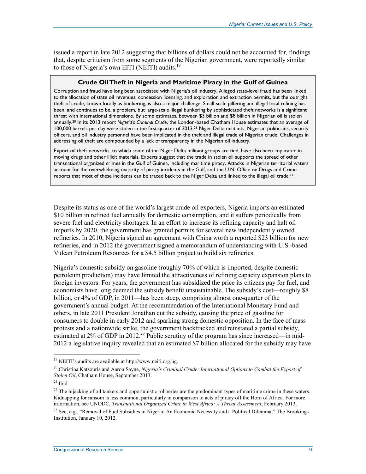issued a report in late 2012 suggesting that billions of dollars could not be accounted for, findings that, despite criticism from some segments of the Nigerian government, were reportedly similar to those of Nigeria's own EITI (NEITI) audits. $^{19}$ 

#### **Crude Oil Theft in Nigeria and Maritime Piracy in the Gulf of Guinea**

Corruption and fraud have long been associated with Nigeria's oil industry. Alleged state-level fraud has been linked to the allocation of state oil revenues, concession licensing, and exploration and extraction permits, but the outright theft of crude, known locally as bunkering, is also a major challenge. Small-scale pilfering and illegal local refining has been, and continues to be, a problem, but large-scale illegal bunkering by sophisticated theft networks is a significant threat with international dimensions. By some estimates, between \$3 billion and \$8 billion in Nigerian oil is stolen annually.20 In its 2013 report *Nigeria's Criminal Crude*, the London-based Chatham House estimates that an average of 100,000 barrels per day were stolen in the first quarter of 2013.21 Niger Delta militants, Nigerian politicians, security officers, and oil industry personnel have been implicated in the theft and illegal trade of Nigerian crude. Challenges in addressing oil theft are compounded by a lack of transparency in the Nigerian oil industry.

Export oil theft networks, to which some of the Niger Delta militant groups are tied, have also been implicated in moving drugs and other illicit materials. Experts suggest that the trade in stolen oil supports the spread of other transnational organized crimes in the Gulf of Guinea, including maritime piracy. Attacks in Nigerian territorial waters account for the overwhelming majority of piracy incidents in the Gulf, and the U.N. Office on Drugs and Crime reports that most of these incidents can be traced back to the Niger Delta and linked to the illegal oil trade.<sup>22</sup>

Despite its status as one of the world's largest crude oil exporters, Nigeria imports an estimated \$10 billion in refined fuel annually for domestic consumption, and it suffers periodically from severe fuel and electricity shortages. In an effort to increase its refining capacity and halt oil imports by 2020, the government has granted permits for several new independently owned refineries. In 2010, Nigeria signed an agreement with China worth a reported \$23 billion for new refineries, and in 2012 the government signed a memorandum of understanding with U.S.-based Vulcan Petroleum Resources for a \$4.5 billion project to build six refineries.

Nigeria's domestic subsidy on gasoline (roughly 70% of which is imported, despite domestic petroleum production) may have limited the attractiveness of refining capacity expansion plans to foreign investors. For years, the government has subsidized the price its citizens pay for fuel, and economists have long deemed the subsidy benefit unsustainable. The subsidy's cost—roughly \$8 billion, or 4% of GDP, in 2011—has been steep, comprising almost one-quarter of the government's annual budget. At the recommendation of the International Monetary Fund and others, in late 2011 President Jonathan cut the subsidy, causing the price of gasoline for consumers to double in early 2012 and sparking strong domestic opposition. In the face of mass protests and a nationwide strike, the government backtracked and reinstated a partial subsidy, estimated at  $2\%$  of GDP in  $2012<sup>23</sup>$  Public scrutiny of the program has since increased—in mid-2012 a legislative inquiry revealed that an estimated \$7 billion allocated for the subsidy may have

<sup>19</sup> NEITI's audits are available at http://www.neiti.org.ng.

<sup>20</sup> Christina Katsouris and Aaron Sayne, *Nigeria's Criminal Crude: International Options to Combat the Export of Stolen Oil*, Chatham House, September 2013.

 $21$  Ibid.

 $22$  The hijacking of oil tankers and opportunistic robberies are the predominant types of maritime crime in these waters. Kidnapping for ransom is less common, particularly in comparison to acts of piracy off the Horn of Africa. For more information, see UNODC, *Transnational Organized Crime in West Africa: A Threat Assessment*, February 2013.

<sup>&</sup>lt;sup>23</sup> See, e.g., "Removal of Fuel Subsidies in Nigeria: An Economic Necessity and a Political Dilemma," The Brookings Institution, January 10, 2012.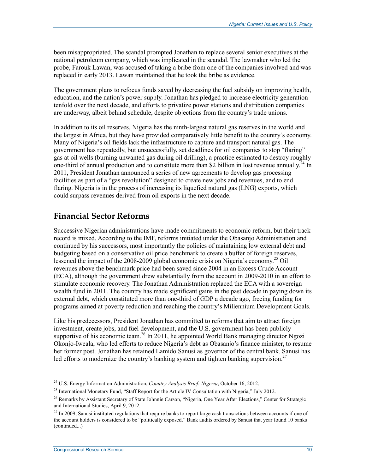been misappropriated. The scandal prompted Jonathan to replace several senior executives at the national petroleum company, which was implicated in the scandal. The lawmaker who led the probe, Farouk Lawan, was accused of taking a bribe from one of the companies involved and was replaced in early 2013. Lawan maintained that he took the bribe as evidence.

The government plans to refocus funds saved by decreasing the fuel subsidy on improving health, education, and the nation's power supply. Jonathan has pledged to increase electricity generation tenfold over the next decade, and efforts to privatize power stations and distribution companies are underway, albeit behind schedule, despite objections from the country's trade unions.

In addition to its oil reserves, Nigeria has the ninth-largest natural gas reserves in the world and the largest in Africa, but they have provided comparatively little benefit to the country's economy. Many of Nigeria's oil fields lack the infrastructure to capture and transport natural gas. The government has repeatedly, but unsuccessfully, set deadlines for oil companies to stop "flaring" gas at oil wells (burning unwanted gas during oil drilling), a practice estimated to destroy roughly one-third of annual production and to constitute more than \$2 billion in lost revenue annually.<sup>24</sup> In 2011, President Jonathan announced a series of new agreements to develop gas processing facilities as part of a "gas revolution" designed to create new jobs and revenues, and to end flaring. Nigeria is in the process of increasing its liquefied natural gas (LNG) exports, which could surpass revenues derived from oil exports in the next decade.

### **Financial Sector Reforms**

Successive Nigerian administrations have made commitments to economic reform, but their track record is mixed. According to the IMF, reforms initiated under the Obasanjo Administration and continued by his successors, most importantly the policies of maintaining low external debt and budgeting based on a conservative oil price benchmark to create a buffer of foreign reserves, lessened the impact of the 2008-2009 global economic crisis on Nigeria's economy.<sup>25</sup> Oil revenues above the benchmark price had been saved since 2004 in an Excess Crude Account (ECA), although the government drew substantially from the account in 2009-2010 in an effort to stimulate economic recovery. The Jonathan Administration replaced the ECA with a sovereign wealth fund in 2011. The country has made significant gains in the past decade in paying down its external debt, which constituted more than one-third of GDP a decade ago, freeing funding for programs aimed at poverty reduction and reaching the country's Millennium Development Goals.

Like his predecessors, President Jonathan has committed to reforms that aim to attract foreign investment, create jobs, and fuel development, and the U.S. government has been publicly supportive of his economic team.<sup>26</sup> In 2011, he appointed World Bank managing director Ngozi Okonjo-Iweala, who led efforts to reduce Nigeria's debt as Obasanjo's finance minister, to resume her former post. Jonathan has retained Lamido Sanusi as governor of the central bank. Sanusi has led efforts to modernize the country's banking system and tighten banking supervision.<sup>27</sup>

<sup>24</sup> U.S. Energy Information Administration, *Country Analysis Brief: Nigeria*, October 16, 2012.

<sup>&</sup>lt;sup>25</sup> International Monetary Fund, "Staff Report for the Article IV Consultation with Nigeria," July 2012.

<sup>&</sup>lt;sup>26</sup> Remarks by Assistant Secretary of State Johnnie Carson, "Nigeria, One Year After Elections," Center for Strategic and International Studies, April 9, 2012.

 $^{27}$  In 2009, Sanusi instituted regulations that require banks to report large cash transactions between accounts if one of the account holders is considered to be "politically exposed." Bank audits ordered by Sanusi that year found 10 banks (continued...)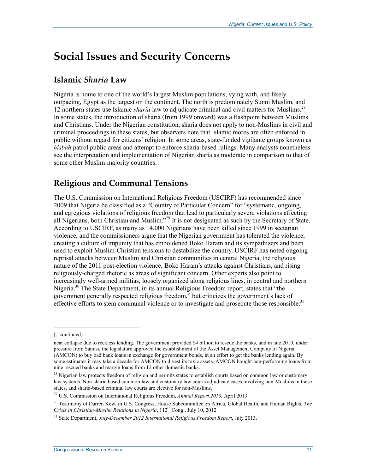## **Social Issues and Security Concerns**

#### **Islamic** *Sharia* **Law**

Nigeria is home to one of the world's largest Muslim populations, vying with, and likely outpacing, Egypt as the largest on the continent. The north is predominately Sunni Muslim, and 12 northern states use Islamic *sharia* law to adjudicate criminal and civil matters for Muslims.28 In some states, the introduction of sharia (from 1999 onward) was a flashpoint between Muslims and Christians. Under the Nigerian constitution, sharia does not apply to non-Muslims in civil and criminal proceedings in these states, but observers note that Islamic mores are often enforced in public without regard for citizens' religion. In some areas, state-funded vigilante groups known as *hisbah* patrol public areas and attempt to enforce sharia-based rulings. Many analysts nonetheless see the interpretation and implementation of Nigerian sharia as moderate in comparison to that of some other Muslim-majority countries.

### **Religious and Communal Tensions**

The U.S. Commission on International Religious Freedom (USCIRF) has recommended since 2009 that Nigeria be classified as a "Country of Particular Concern" for "systematic, ongoing, and egregious violations of religious freedom that lead to particularly severe violations affecting all Nigerians, both Christian and Muslim."<sup>29</sup> It is not designated as such by the Secretary of State. According to USCIRF, as many as 14,000 Nigerians have been killed since 1999 in sectarian violence, and the commissioners argue that the Nigerian government has tolerated the violence, creating a culture of impunity that has emboldened Boko Haram and its sympathizers and been used to exploit Muslim-Christian tensions to destabilize the country. USCIRF has noted ongoing reprisal attacks between Muslim and Christian communities in central Nigeria, the religious nature of the 2011 post-election violence, Boko Haram's attacks against Christians, and rising religiously-charged rhetoric as areas of significant concern. Other experts also point to increasingly well-armed militias, loosely organized along religious lines, in central and northern Nigeria.<sup>30</sup> The State Department, in its annual Religious Freedom report, states that "the government generally respected religious freedom," but criticizes the government's lack of effective efforts to stem communal violence or to investigate and prosecute those responsible.<sup>31</sup>

<sup>(...</sup>continued)

near collapse due to reckless lending. The government provided \$4 billion to rescue the banks, and in late 2010, under pressure from Sanusi, the legislature approved the establishment of the Asset Management Company of Nigeria (AMCON) to buy bad bank loans in exchange for government bonds, in an effort to get the banks lending again. By some estimates it may take a decade for AMCON to divest its toxic assets. AMCON bought non-performing loans from nine rescued banks and margin loans from 12 other domestic banks.

 $^{28}$  Nigerian law protects freedom of religion and permits states to establish courts based on common law or customary law systems. Non-sharia based common law and customary law courts adjudicate cases involving non-Muslims in these states, and sharia-based criminal law courts are elective for non-Muslims.

<sup>29</sup> U.S. Commission on International Religious Freedom, *Annual Report 2013,* April 2013.

<sup>30</sup> Testimony of Darren Kew, in U.S. Congress, House Subcommittee on Africa, Global Health, and Human Rights, *The Crisis in Christian-Muslim Relations in Nigeria*, 112<sup>th</sup> Cong., July 10, 2012.

<sup>31</sup> State Department, *July-December 2012 International Religious Freedom Report*, July 2013.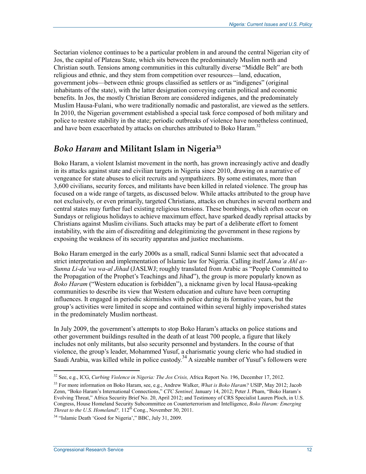Sectarian violence continues to be a particular problem in and around the central Nigerian city of Jos, the capital of Plateau State, which sits between the predominately Muslim north and Christian south. Tensions among communities in this culturally diverse "Middle Belt" are both religious and ethnic, and they stem from competition over resources—land, education, government jobs—between ethnic groups classified as settlers or as "indigenes" (original inhabitants of the state), with the latter designation conveying certain political and economic benefits. In Jos, the mostly Christian Berom are considered indigenes, and the predominately Muslim Hausa-Fulani, who were traditionally nomadic and pastoralist, are viewed as the settlers. In 2010, the Nigerian government established a special task force composed of both military and police to restore stability in the state; periodic outbreaks of violence have nonetheless continued, and have been exacerbated by attacks on churches attributed to Boko Haram.<sup>32</sup>

### *Boko Haram* **and Militant Islam in Nigeria33**

Boko Haram, a violent Islamist movement in the north, has grown increasingly active and deadly in its attacks against state and civilian targets in Nigeria since 2010, drawing on a narrative of vengeance for state abuses to elicit recruits and sympathizers. By some estimates, more than 3,600 civilians, security forces, and militants have been killed in related violence. The group has focused on a wide range of targets, as discussed below. While attacks attributed to the group have not exclusively, or even primarily, targeted Christians, attacks on churches in several northern and central states may further fuel existing religious tensions. These bombings, which often occur on Sundays or religious holidays to achieve maximum effect, have sparked deadly reprisal attacks by Christians against Muslim civilians. Such attacks may be part of a deliberate effort to foment instability, with the aim of discrediting and delegitimizing the government in these regions by exposing the weakness of its security apparatus and justice mechanisms.

Boko Haram emerged in the early 2000s as a small, radical Sunni Islamic sect that advocated a strict interpretation and implementation of Islamic law for Nigeria. Calling itself *Jama'a Ahl as-Sunna Li-da'wa wa-al Jihad* (JASLWJ; roughly translated from Arabic as "People Committed to the Propagation of the Prophet's Teachings and Jihad"), the group is more popularly known as *Boko Haram* ("Western education is forbidden"), a nickname given by local Hausa-speaking communities to describe its view that Western education and culture have been corrupting influences. It engaged in periodic skirmishes with police during its formative years, but the group's activities were limited in scope and contained within several highly impoverished states in the predominately Muslim northeast.

In July 2009, the government's attempts to stop Boko Haram's attacks on police stations and other government buildings resulted in the death of at least 700 people, a figure that likely includes not only militants, but also security personnel and bystanders. In the course of that violence, the group's leader, Mohammed Yusuf, a charismatic young cleric who had studied in Saudi Arabia, was killed while in police custody.34 A sizeable number of Yusuf's followers were

<sup>32</sup> See, e.g., ICG, *Curbing Violence in Nigeria: The Jos Crisis,* Africa Report No. 196, December 17, 2012.

<sup>33</sup> For more information on Boko Haram, see, e.g., Andrew Walker, *What is Boko Haram?* USIP, May 2012; Jacob Zenn, "Boko Haram's International Connections," *CTC Sentinel,* January 14, 2012; Peter J. Pham, "Boko Haram's Evolving Threat," Africa Security Brief No. 20, April 2012; and Testimony of CRS Specialist Lauren Ploch, in U.S. Congress, House Homeland Security Subcommittee on Counterterrorism and Intelligence, *Boko Haram: Emerging Threat to the U.S. Homeland?,* 112<sup>th</sup> Cong., November 30, 2011.

<sup>&</sup>lt;sup>34</sup> "Islamic Death 'Good for Nigeria'," BBC, July 31, 2009.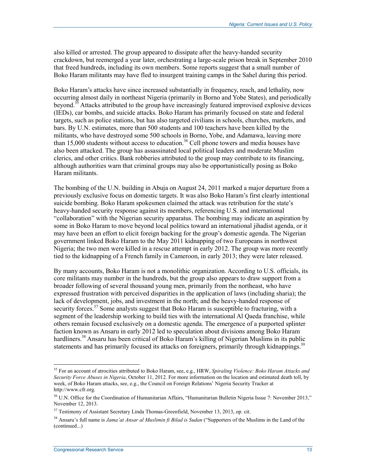also killed or arrested. The group appeared to dissipate after the heavy-handed security crackdown, but reemerged a year later, orchestrating a large-scale prison break in September 2010 that freed hundreds, including its own members. Some reports suggest that a small number of Boko Haram militants may have fled to insurgent training camps in the Sahel during this period.

Boko Haram's attacks have since increased substantially in frequency, reach, and lethality, now occurring almost daily in northeast Nigeria (primarily in Borno and Yobe States), and periodically beyond.<sup>35</sup> Attacks attributed to the group have increasingly featured improvised explosive devices (IEDs), car bombs, and suicide attacks. Boko Haram has primarily focused on state and federal targets, such as police stations, but has also targeted civilians in schools, churches, markets, and bars. By U.N. estimates, more than 500 students and 100 teachers have been killed by the militants, who have destroyed some 500 schools in Borno, Yobe, and Adamawa, leaving more than 15,000 students without access to education.<sup>36</sup> Cell phone towers and media houses have also been attacked. The group has assassinated local political leaders and moderate Muslim clerics, and other critics. Bank robberies attributed to the group may contribute to its financing, although authorities warn that criminal groups may also be opportunistically posing as Boko Haram militants.

The bombing of the U.N. building in Abuja on August 24, 2011 marked a major departure from a previously exclusive focus on domestic targets. It was also Boko Haram's first clearly intentional suicide bombing. Boko Haram spokesmen claimed the attack was retribution for the state's heavy-handed security response against its members, referencing U.S. and international "collaboration" with the Nigerian security apparatus. The bombing may indicate an aspiration by some in Boko Haram to move beyond local politics toward an international jihadist agenda, or it may have been an effort to elicit foreign backing for the group's domestic agenda. The Nigerian government linked Boko Haram to the May 2011 kidnapping of two Europeans in northwest Nigeria; the two men were killed in a rescue attempt in early 2012. The group was more recently tied to the kidnapping of a French family in Cameroon, in early 2013; they were later released.

By many accounts, Boko Haram is not a monolithic organization. According to U.S. officials, its core militants may number in the hundreds, but the group also appears to draw support from a broader following of several thousand young men, primarily from the northeast, who have expressed frustration with perceived disparities in the application of laws (including sharia); the lack of development, jobs, and investment in the north; and the heavy-handed response of security forces.<sup>37</sup> Some analysts suggest that Boko Haram is susceptible to fracturing, with a segment of the leadership working to build ties with the international Al Qaeda franchise, while others remain focused exclusively on a domestic agenda. The emergence of a purported splinter faction known as Ansaru in early 2012 led to speculation about divisions among Boko Haram hardliners.<sup>38</sup> Ansaru has been critical of Boko Haram's killing of Nigerian Muslims in its public statements and has primarily focused its attacks on foreigners, primarily through kidnappings.<sup>39</sup>

<sup>35</sup> For an account of atrocities attributed to Boko Haram, see, e.g., HRW, *Spiraling Violence: Boko Haram Attacks and Security Force Abuses in Nigeria*, October 11, 2012. For more information on the location and estimated death toll, by week, of Boko Haram attacks, see, e.g., the Council on Foreign Relations' Nigeria Security Tracker at http://www.cfr.org.

<sup>36</sup> U.N. Office for the Coordination of Humanitarian Affairs, "Humanitarian Bulletin Nigeria Issue 7: November 2013," November 12, 2013.

<sup>&</sup>lt;sup>37</sup> Testimony of Assistant Secretary Linda Thomas-Greenfield, November 13, 2013, op. cit.

<sup>38</sup> Ansaru's full name is *Jama'at Ansar al Muslimin fi Bilad is Sudan* ("Supporters of the Muslims in the Land of the (continued...)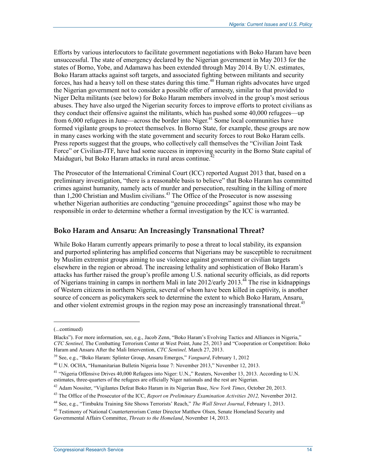Efforts by various interlocutors to facilitate government negotiations with Boko Haram have been unsuccessful. The state of emergency declared by the Nigerian government in May 2013 for the states of Borno, Yobe, and Adamawa has been extended through May 2014. By U.N. estimates, Boko Haram attacks against soft targets, and associated fighting between militants and security forces, has had a heavy toll on these states during this time.40 Human rights advocates have urged the Nigerian government not to consider a possible offer of amnesty, similar to that provided to Niger Delta militants (see below) for Boko Haram members involved in the group's most serious abuses. They have also urged the Nigerian security forces to improve efforts to protect civilians as they conduct their offensive against the militants, which has pushed some 40,000 refugees—up from  $6,000$  refugees in June—across the border into Niger.<sup>41</sup> Some local communities have formed vigilante groups to protect themselves. In Borno State, for example, these groups are now in many cases working with the state government and security forces to rout Boko Haram cells. Press reports suggest that the groups, who collectively call themselves the "Civilian Joint Task Force" or Civilian-JTF, have had some success in improving security in the Borno State capital of Maiduguri, but Boko Haram attacks in rural areas continue.<sup>2</sup>

The Prosecutor of the International Criminal Court (ICC) reported August 2013 that, based on a preliminary investigation, "there is a reasonable basis to believe" that Boko Haram has committed crimes against humanity, namely acts of murder and persecution, resulting in the killing of more than 1,200 Christian and Muslim civilians.<sup>43</sup> The Office of the Prosecutor is now assessing whether Nigerian authorities are conducting "genuine proceedings" against those who may be responsible in order to determine whether a formal investigation by the ICC is warranted.

#### **Boko Haram and Ansaru: An Increasingly Transnational Threat?**

While Boko Haram currently appears primarily to pose a threat to local stability, its expansion and purported splintering has amplified concerns that Nigerians may be susceptible to recruitment by Muslim extremist groups aiming to use violence against government or civilian targets elsewhere in the region or abroad. The increasing lethality and sophistication of Boko Haram's attacks has further raised the group's profile among U.S. national security officials, as did reports of Nigerians training in camps in northern Mali in late  $2012$ /early  $2013<sup>44</sup>$ . The rise in kidnappings of Western citizens in northern Nigeria, several of whom have been killed in captivity, is another source of concern as policymakers seek to determine the extent to which Boko Haram, Ansaru, and other violent extremist groups in the region may pose an increasingly transnational threat.<sup>45</sup>

<sup>(...</sup>continued)

Blacks"). For more information, see, e.g., Jacob Zenn, "Boko Haram's Evolving Tactics and Alliances in Nigeria," *CTC Sentinel,* The Combatting Terrorism Center at West Point, June 25, 2013 and "Cooperation or Competition: Boko Haram and Ansaru After the Mali Intervention, *CTC Sentinel,* March 27, 2013.

<sup>39</sup> See, e.g., "Boko Haram: Splinter Group, Ansaru Emerges," *Vanguard*, February 1, 2012

<sup>40</sup> U.N. OCHA, "Humanitarian Bulletin Nigeria Issue 7: November 2013," November 12, 2013.

<sup>&</sup>lt;sup>41</sup> "Nigeria Offensive Drives 40,000 Refugees into Niger: U.N.," Reuters, November 13, 2013. According to U.N. estimates, three-quarters of the refugees are officially Niger nationals and the rest are Nigerian.

<sup>42</sup> Adam Nossiter, "Vigilantes Defeat Boko Haram in its Nigerian Base, *New York Times*, October 20, 2013.

<sup>&</sup>lt;sup>43</sup> The Office of the Prosecutor of the ICC, *Report on Preliminary Examination Activities 2012*, November 2012.

<sup>44</sup> See, e.g., "Timbuktu Training Site Shows Terrorists' Reach," *The Wall Street Journal*, February 1, 2013.

<sup>&</sup>lt;sup>45</sup> Testimony of National Counterterrorism Center Director Matthew Olsen, Senate Homeland Security and Governmental Affairs Committee, *Threats to the Homeland*, November 14, 2013.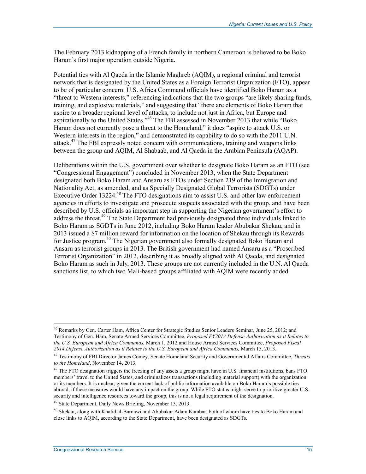The February 2013 kidnapping of a French family in northern Cameroon is believed to be Boko Haram's first major operation outside Nigeria.

Potential ties with Al Qaeda in the Islamic Maghreb (AQIM), a regional criminal and terrorist network that is designated by the United States as a Foreign Terrorist Organization (FTO), appear to be of particular concern. U.S. Africa Command officials have identified Boko Haram as a "threat to Western interests," referencing indications that the two groups "are likely sharing funds, training, and explosive materials," and suggesting that "there are elements of Boko Haram that aspire to a broader regional level of attacks, to include not just in Africa, but Europe and aspirationally to the United States."<sup>46</sup> The FBI assessed in November 2013 that while "Boko Haram does not currently pose a threat to the Homeland," it does "aspire to attack U.S. or Western interests in the region," and demonstrated its capability to do so with the 2011 U.N. attack.47 The FBI expressly noted concern with communications, training and weapons links between the group and AQIM, Al Shabaab, and Al Qaeda in the Arabian Peninsula (AQAP).

Deliberations within the U.S. government over whether to designate Boko Haram as an FTO (see "Congressional Engagement") concluded in November 2013, when the State Department designated both Boko Haram and Ansaru as FTOs under Section 219 of the Immigration and Nationality Act, as amended, and as Specially Designated Global Terrorists (SDGTs) under Executive Order 13224.<sup>48</sup> The FTO designations aim to assist U.S. and other law enforcement agencies in efforts to investigate and prosecute suspects associated with the group, and have been described by U.S. officials as important step in supporting the Nigerian government's effort to address the threat.<sup>49</sup> The State Department had previously designated three individuals linked to Boko Haram as SGDTs in June 2012, including Boko Haram leader Abubakar Shekau, and in 2013 issued a \$7 million reward for information on the location of Shekau through its Rewards for Justice program.<sup>50</sup> The Nigerian government also formally designated Boko Haram and Ansaru as terrorist groups in 2013. The British government had named Ansaru as a "Proscribed Terrorist Organization" in 2012, describing it as broadly aligned with Al Qaeda, and designated Boko Haram as such in July, 2013. These groups are not currently included in the U.N. Al Qaeda sanctions list, to which two Mali-based groups affiliated with AQIM were recently added.

<u>.</u>

<sup>46</sup> Remarks by Gen. Carter Ham, Africa Center for Strategic Studies Senior Leaders Seminar, June 25, 2012; and Testimony of Gen. Ham, Senate Armed Services Committee, *Proposed FY2013 Defense Authorization as it Relates to the U.S. European and Africa Commands,* March 1, 2012 and House Armed Services Committee, *Proposed Fiscal 2014 Defense Authorization as it Relates to the U.S. European and Africa Commands,* March 15, 2013.

<sup>47</sup> Testimony of FBI Director James Comey, Senate Homeland Security and Governmental Affairs Committee, *Threats to the Homeland*, November 14, 2013.

<sup>&</sup>lt;sup>48</sup> The FTO designation triggers the freezing of any assets a group might have in U.S. financial institutions, bans FTO members' travel to the United States, and criminalizes transactions (including material support) with the organization or its members. It is unclear, given the current lack of public information available on Boko Haram's possible ties abroad, if these measures would have any impact on the group. While FTO status might serve to prioritize greater U.S. security and intelligence resources toward the group, this is not a legal requirement of the designation.

<sup>49</sup> State Department, Daily News Briefing, November 13, 2013.

 $50$  Shekau, along with Khalid al-Barnawi and Abubakar Adam Kambar, both of whom have ties to Boko Haram and close links to AQIM, according to the State Department, have been designated as SDGTs.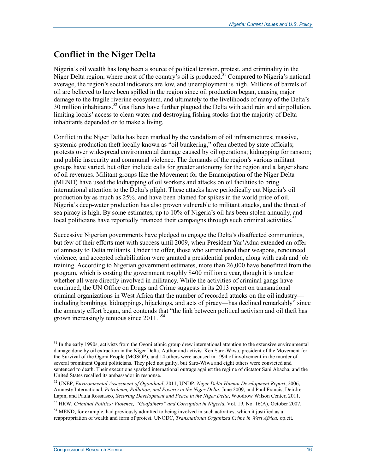### **Conflict in the Niger Delta**

Nigeria's oil wealth has long been a source of political tension, protest, and criminality in the Niger Delta region, where most of the country's oil is produced.<sup>51</sup> Compared to Nigeria's national average, the region's social indicators are low, and unemployment is high. Millions of barrels of oil are believed to have been spilled in the region since oil production began, causing major damage to the fragile riverine ecosystem, and ultimately to the livelihoods of many of the Delta's  $30$  million inhabitants.<sup>52</sup> Gas flares have further plagued the Delta with acid rain and air pollution, limiting locals' access to clean water and destroying fishing stocks that the majority of Delta inhabitants depended on to make a living.

Conflict in the Niger Delta has been marked by the vandalism of oil infrastructures; massive, systemic production theft locally known as "oil bunkering," often abetted by state officials; protests over widespread environmental damage caused by oil operations; kidnapping for ransom; and public insecurity and communal violence. The demands of the region's various militant groups have varied, but often include calls for greater autonomy for the region and a larger share of oil revenues. Militant groups like the Movement for the Emancipation of the Niger Delta (MEND) have used the kidnapping of oil workers and attacks on oil facilities to bring international attention to the Delta's plight. These attacks have periodically cut Nigeria's oil production by as much as 25%, and have been blamed for spikes in the world price of oil. Nigeria's deep-water production has also proven vulnerable to militant attacks, and the threat of sea piracy is high. By some estimates, up to 10% of Nigeria's oil has been stolen annually, and local politicians have reportedly financed their campaigns through such criminal activities.<sup>53</sup>

Successive Nigerian governments have pledged to engage the Delta's disaffected communities, but few of their efforts met with success until 2009, when President Yar'Adua extended an offer of amnesty to Delta militants. Under the offer, those who surrendered their weapons, renounced violence, and accepted rehabilitation were granted a presidential pardon, along with cash and job training. According to Nigerian government estimates, more than 26,000 have benefitted from the program, which is costing the government roughly \$400 million a year, though it is unclear whether all were directly involved in militancy. While the activities of criminal gangs have continued, the UN Office on Drugs and Crime suggests in its 2013 report on transnational criminal organizations in West Africa that the number of recorded attacks on the oil industry including bombings, kidnappings, hijackings, and acts of piracy—has declined remarkably" since the amnesty effort began, and contends that "the link between political activism and oil theft has grown increasingly tenuous since 2011."54

 $<sup>51</sup>$  In the early 1990s, activists from the Ogoni ethnic group drew international attention to the extensive environmental</sup> damage done by oil extraction in the Niger Delta. Author and activist Ken Saro-Wiwa, president of the Movement for the Survival of the Ogoni People (MOSOP), and 14 others were accused in 1994 of involvement in the murder of several prominent Ogoni politicians. They pled not guilty, but Saro-Wiwa and eight others were convicted and sentenced to death. Their executions sparked international outrage against the regime of dictator Sani Abacha, and the United States recalled its ambassador in response.

<sup>52</sup> UNEP, *Environmental Assessment of Ogoniland*, 2011; UNDP, *Niger Delta Human Development Report*, 2006; Amnesty International, *Petroleum, Pollution, and Poverty in the Niger Delta*, June 2009; and Paul Francis, Deirdre Lapin, and Paula Rossiasco, *Securing Development and Peace in the Niger Delta*, Woodrow Wilson Center, 2011.

<sup>53</sup> HRW, *Criminal Politics: Violence, "Godfathers" and Corruption in Nigeria*, Vol. 19, No. 16(A), October 2007.

 $<sup>54</sup>$  MEND, for example, had previously admitted to being involved in such activities, which it justified as a</sup> reappropriation of wealth and form of protest. UNODC, *Transnational Organized Crime in West Africa,* op.cit.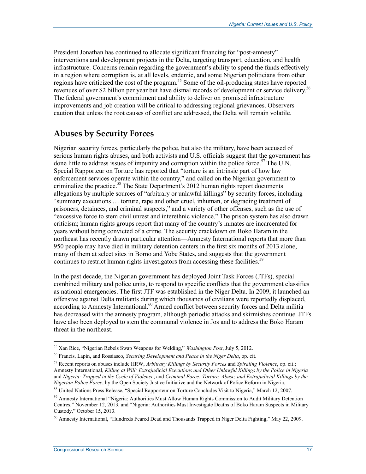President Jonathan has continued to allocate significant financing for "post-amnesty" interventions and development projects in the Delta, targeting transport, education, and health infrastructure. Concerns remain regarding the government's ability to spend the funds effectively in a region where corruption is, at all levels, endemic, and some Nigerian politicians from other regions have criticized the cost of the program.55 Some of the oil-producing states have reported revenues of over \$2 billion per year but have dismal records of development or service delivery.<sup>56</sup> The federal government's commitment and ability to deliver on promised infrastructure improvements and job creation will be critical to addressing regional grievances. Observers caution that unless the root causes of conflict are addressed, the Delta will remain volatile.

### **Abuses by Security Forces**

Nigerian security forces, particularly the police, but also the military, have been accused of serious human rights abuses, and both activists and U.S. officials suggest that the government has done little to address issues of impunity and corruption within the police force.<sup>57</sup> The U.N. Special Rapporteur on Torture has reported that "torture is an intrinsic part of how law enforcement services operate within the country," and called on the Nigerian government to criminalize the practice.<sup>58</sup> The State Department's 2012 human rights report documents allegations by multiple sources of "arbitrary or unlawful killings" by security forces, including "summary executions … torture, rape and other cruel, inhuman, or degrading treatment of prisoners, detainees, and criminal suspects," and a variety of other offenses, such as the use of "excessive force to stem civil unrest and interethnic violence." The prison system has also drawn criticism; human rights groups report that many of the country's inmates are incarcerated for years without being convicted of a crime. The security crackdown on Boko Haram in the northeast has recently drawn particular attention—Amnesty International reports that more than 950 people may have died in military detention centers in the first six months of 2013 alone, many of them at select sites in Borno and Yobe States, and suggests that the government continues to restrict human rights investigators from accessing these facilities.<sup>59</sup>

In the past decade, the Nigerian government has deployed Joint Task Forces (JTFs), special combined military and police units, to respond to specific conflicts that the government classifies as national emergencies. The first JTF was established in the Niger Delta. In 2009, it launched an offensive against Delta militants during which thousands of civilians were reportedly displaced, according to Amnesty International.<sup>60</sup> Armed conflict between security forces and Delta militia has decreased with the amnesty program, although periodic attacks and skirmishes continue. JTFs have also been deployed to stem the communal violence in Jos and to address the Boko Haram threat in the northeast.

<sup>55</sup> Xan Rice, "Nigerian Rebels Swap Weapons for Welding," *Washington Post*, July 5, 2012.

<sup>56</sup> Francis, Lapin, and Rossiasco, *Securing Development and Peace in the Niger Delta*, op. cit.

<sup>57</sup> Recent reports on abuses include HRW, *Arbitrary Killings by Security Forces* and *Spiraling Violence*, op. cit.; Amnesty International, *Killing at Will: Extrajudicial Executions and Other Unlawful Killings by the Police in Nigeria*  and *Nigeria: Trapped in the Cycle of Violence*; and *Criminal Force: Torture, Abuse, and Extrajudicial Killings by the Nigerian Police Force*, by the Open Society Justice Initiative and the Network of Police Reform in Nigeria.

<sup>58</sup> United Nations Press Release, "Special Rapporteur on Torture Concludes Visit to Nigeria," March 12, 2007.

<sup>&</sup>lt;sup>59</sup> Amnesty International "Nigeria: Authorities Must Allow Human Rights Commission to Audit Military Detention Centres," November 12, 2013, and "Nigeria: Authorities Must Investigate Deaths of Boko Haram Suspects in Military Custody," October 15, 2013.

<sup>60</sup> Amnesty International, "Hundreds Feared Dead and Thousands Trapped in Niger Delta Fighting," May 22, 2009.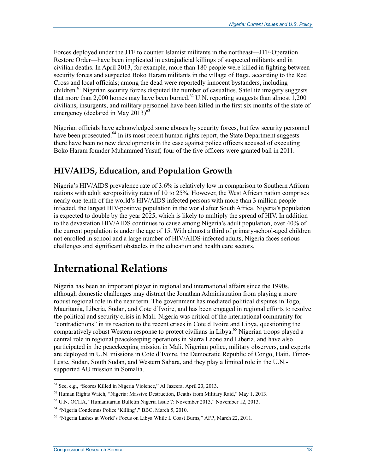Forces deployed under the JTF to counter Islamist militants in the northeast—JTF-Operation Restore Order—have been implicated in extrajudicial killings of suspected militants and in civilian deaths. In April 2013, for example, more than 180 people were killed in fighting between security forces and suspected Boko Haram militants in the village of Baga, according to the Red Cross and local officials; among the dead were reportedly innocent bystanders, including children.<sup>61</sup> Nigerian security forces disputed the number of casualties. Satellite imagery suggests that more than 2,000 homes may have been burned.<sup>62</sup> U.N. reporting suggests than almost 1,200 civilians, insurgents, and military personnel have been killed in the first six months of the state of emergency (declared in May  $2013<sup>63</sup>$ 

Nigerian officials have acknowledged some abuses by security forces, but few security personnel have been prosecuted.<sup>64</sup> In its most recent human rights report, the State Department suggests there have been no new developments in the case against police officers accused of executing Boko Haram founder Muhammed Yusuf; four of the five officers were granted bail in 2011.

#### **HIV/AIDS, Education, and Population Growth**

Nigeria's HIV/AIDS prevalence rate of 3.6% is relatively low in comparison to Southern African nations with adult seropositivity rates of 10 to 25%. However, the West African nation comprises nearly one-tenth of the world's HIV/AIDS infected persons with more than 3 million people infected, the largest HIV-positive population in the world after South Africa. Nigeria's population is expected to double by the year 2025, which is likely to multiply the spread of HIV. In addition to the devastation HIV/AIDS continues to cause among Nigeria's adult population, over 40% of the current population is under the age of 15. With almost a third of primary-school-aged children not enrolled in school and a large number of HIV/AIDS-infected adults, Nigeria faces serious challenges and significant obstacles in the education and health care sectors.

## **International Relations**

Nigeria has been an important player in regional and international affairs since the 1990s, although domestic challenges may distract the Jonathan Administration from playing a more robust regional role in the near term. The government has mediated political disputes in Togo, Mauritania, Liberia, Sudan, and Cote d'Ivoire, and has been engaged in regional efforts to resolve the political and security crisis in Mali. Nigeria was critical of the international community for "contradictions" in its reaction to the recent crises in Cote d'Ivoire and Libya, questioning the comparatively robust Western response to protect civilians in Libya.<sup>65</sup> Nigerian troops played a central role in regional peacekeeping operations in Sierra Leone and Liberia, and have also participated in the peacekeeping mission in Mali. Nigerian police, military observers, and experts are deployed in U.N. missions in Cote d'Ivoire, the Democratic Republic of Congo, Haiti, Timor-Leste, Sudan, South Sudan, and Western Sahara, and they play a limited role in the U.N. supported AU mission in Somalia.

<sup>61</sup> See, e.g., "Scores Killed in Nigeria Violence," Al Jazeera, April 23, 2013.

 $62$  Human Rights Watch, "Nigeria: Massive Destruction, Deaths from Military Raid," May 1, 2013.

<sup>63</sup> U.N. OCHA, "Humanitarian Bulletin Nigeria Issue 7: November 2013," November 12, 2013.

<sup>64 &</sup>quot;Nigeria Condemns Police 'Killing'," BBC, March 5, 2010.

<sup>&</sup>lt;sup>65</sup> "Nigeria Lashes at World's Focus on Libya While I. Coast Burns," AFP, March 22, 2011.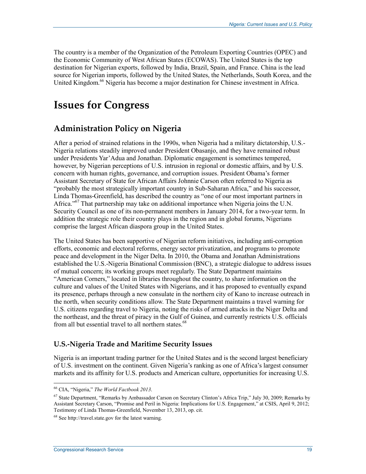The country is a member of the Organization of the Petroleum Exporting Countries (OPEC) and the Economic Community of West African States (ECOWAS). The United States is the top destination for Nigerian exports, followed by India, Brazil, Spain, and France. China is the lead source for Nigerian imports, followed by the United States, the Netherlands, South Korea, and the United Kingdom.<sup>66</sup> Nigeria has become a major destination for Chinese investment in Africa.

## **Issues for Congress**

### **Administration Policy on Nigeria**

After a period of strained relations in the 1990s, when Nigeria had a military dictatorship, U.S.- Nigeria relations steadily improved under President Obasanjo, and they have remained robust under Presidents Yar'Adua and Jonathan. Diplomatic engagement is sometimes tempered, however, by Nigerian perceptions of U.S. intrusion in regional or domestic affairs, and by U.S. concern with human rights, governance, and corruption issues. President Obama's former Assistant Secretary of State for African Affairs Johnnie Carson often referred to Nigeria as "probably the most strategically important country in Sub-Saharan Africa," and his successor, Linda Thomas-Greenfield, has described the country as "one of our most important partners in Africa."<sup>67</sup> That partnership may take on additional importance when Nigeria joins the U.N. Security Council as one of its non-permanent members in January 2014, for a two-year term. In addition the strategic role their country plays in the region and in global forums, Nigerians comprise the largest African diaspora group in the United States.

The United States has been supportive of Nigerian reform initiatives, including anti-corruption efforts, economic and electoral reforms, energy sector privatization, and programs to promote peace and development in the Niger Delta. In 2010, the Obama and Jonathan Administrations established the U.S.-Nigeria Binational Commission (BNC), a strategic dialogue to address issues of mutual concern; its working groups meet regularly. The State Department maintains "American Corners," located in libraries throughout the country, to share information on the culture and values of the United States with Nigerians, and it has proposed to eventually expand its presence, perhaps through a new consulate in the northern city of Kano to increase outreach in the north, when security conditions allow. The State Department maintains a travel warning for U.S. citizens regarding travel to Nigeria, noting the risks of armed attacks in the Niger Delta and the northeast, and the threat of piracy in the Gulf of Guinea, and currently restricts U.S. officials from all but essential travel to all northern states.<sup>68</sup>

#### **U.S.-Nigeria Trade and Maritime Security Issues**

Nigeria is an important trading partner for the United States and is the second largest beneficiary of U.S. investment on the continent. Given Nigeria's ranking as one of Africa's largest consumer markets and its affinity for U.S. products and American culture, opportunities for increasing U.S.

<sup>66</sup> CIA, "Nigeria," *The World Factbook 2013*.

<sup>&</sup>lt;sup>67</sup> State Department, "Remarks by Ambassador Carson on Secretary Clinton's Africa Trip," July 30, 2009; Remarks by Assistant Secretary Carson, "Promise and Peril in Nigeria: Implications for U.S. Engagement," at CSIS, April 9, 2012; Testimony of Linda Thomas-Greenfield, November 13, 2013, op. cit.

<sup>68</sup> See http://travel.state.gov for the latest warning.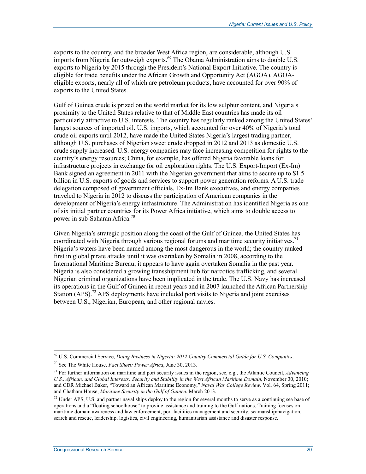exports to the country, and the broader West Africa region, are considerable, although U.S. imports from Nigeria far outweigh exports.<sup>69</sup> The Obama Administration aims to double U.S. exports to Nigeria by 2015 through the President's National Export Initiative. The country is eligible for trade benefits under the African Growth and Opportunity Act (AGOA). AGOAeligible exports, nearly all of which are petroleum products, have accounted for over 90% of exports to the United States.

Gulf of Guinea crude is prized on the world market for its low sulphur content, and Nigeria's proximity to the United States relative to that of Middle East countries has made its oil particularly attractive to U.S. interests. The country has regularly ranked among the United States' largest sources of imported oil. U.S. imports, which accounted for over 40% of Nigeria's total crude oil exports until 2012, have made the United States Nigeria's largest trading partner, although U.S. purchases of Nigerian sweet crude dropped in 2012 and 2013 as domestic U.S. crude supply increased. U.S. energy companies may face increasing competition for rights to the country's energy resources; China, for example, has offered Nigeria favorable loans for infrastructure projects in exchange for oil exploration rights. The U.S. Export-Import (Ex-Im) Bank signed an agreement in 2011 with the Nigerian government that aims to secure up to \$1.5 billion in U.S. exports of goods and services to support power generation reforms. A U.S. trade delegation composed of government officials, Ex-Im Bank executives, and energy companies traveled to Nigeria in 2012 to discuss the participation of American companies in the development of Nigeria's energy infrastructure. The Administration has identified Nigeria as one of six initial partner countries for its Power Africa initiative, which aims to double access to power in sub-Saharan Africa.<sup>70</sup>

Given Nigeria's strategic position along the coast of the Gulf of Guinea, the United States has coordinated with Nigeria through various regional forums and maritime security initiatives.<sup>71</sup> Nigeria's waters have been named among the most dangerous in the world; the country ranked first in global pirate attacks until it was overtaken by Somalia in 2008, according to the International Maritime Bureau; it appears to have again overtaken Somalia in the past year. Nigeria is also considered a growing transshipment hub for narcotics trafficking, and several Nigerian criminal organizations have been implicated in the trade. The U.S. Navy has increased its operations in the Gulf of Guinea in recent years and in 2007 launched the African Partnership Station (APS).<sup>72</sup> APS deployments have included port visits to Nigeria and joint exercises between U.S., Nigerian, European, and other regional navies.

<sup>69</sup> U.S. Commercial Service, *Doing Business in Nigeria: 2012 Country Commercial Guide for U.S. Companies*.

<sup>70</sup> See The White House, *Fact Sheet: Power Africa*, June 30, 2013.

<sup>71</sup> For further information on maritime and port security issues in the region, see, e.g., the Atlantic Council, *Advancing U.S., African, and Global Interests: Security and Stability in the West African Maritime Domain,* November 30, 2010; and CDR Michael Baker, "Toward an African Maritime Economy," *Naval War College Review,* Vol. 64, Spring 2011; and Chatham House, *Maritime Security in the Gulf of Guinea*, March 2013.

 $72$  Under APS, U.S. and partner naval ships deploy to the region for several months to serve as a continuing sea base of operations and a "floating schoolhouse" to provide assistance and training to the Gulf nations. Training focuses on maritime domain awareness and law enforcement, port facilities management and security, seamanship/navigation, search and rescue, leadership, logistics, civil engineering, humanitarian assistance and disaster response.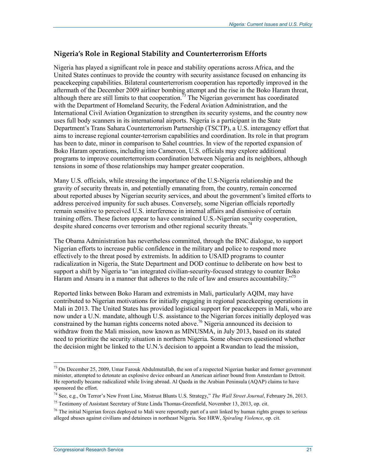#### **Nigeria's Role in Regional Stability and Counterterrorism Efforts**

Nigeria has played a significant role in peace and stability operations across Africa, and the United States continues to provide the country with security assistance focused on enhancing its peacekeeping capabilities. Bilateral counterterrorism cooperation has reportedly improved in the aftermath of the December 2009 airliner bombing attempt and the rise in the Boko Haram threat, although there are still limits to that cooperation.<sup>73</sup> The Nigerian government has coordinated with the Department of Homeland Security, the Federal Aviation Administration, and the International Civil Aviation Organization to strengthen its security systems, and the country now uses full body scanners in its international airports. Nigeria is a participant in the State Department's Trans Sahara Counterterrorism Partnership (TSCTP), a U.S. interagency effort that aims to increase regional counter-terrorism capabilities and coordination. Its role in that program has been to date, minor in comparison to Sahel countries. In view of the reported expansion of Boko Haram operations, including into Cameroon, U.S. officials may explore additional programs to improve counterterrorism coordination between Nigeria and its neighbors, although tensions in some of those relationships may hamper greater cooperation.

Many U.S. officials, while stressing the importance of the U.S-Nigeria relationship and the gravity of security threats in, and potentially emanating from, the country, remain concerned about reported abuses by Nigerian security services, and about the government's limited efforts to address perceived impunity for such abuses. Conversely, some Nigerian officials reportedly remain sensitive to perceived U.S. interference in internal affairs and dismissive of certain training offers. These factors appear to have constrained U.S.-Nigerian security cooperation, despite shared concerns over terrorism and other regional security threats.<sup>74</sup>

The Obama Administration has nevertheless committed, through the BNC dialogue, to support Nigerian efforts to increase public confidence in the military and police to respond more effectively to the threat posed by extremists. In addition to USAID programs to counter radicalization in Nigeria, the State Department and DOD continue to deliberate on how best to support a shift by Nigeria to "an integrated civilian-security-focused strategy to counter Boko Haram and Ansaru in a manner that adheres to the rule of law and ensures accountability."<sup>75</sup>

Reported links between Boko Haram and extremists in Mali, particularly AQIM, may have contributed to Nigerian motivations for initially engaging in regional peacekeeping operations in Mali in 2013. The United States has provided logistical support for peacekeepers in Mali, who are now under a U.N. mandate, although U.S. assistance to the Nigerian forces initially deployed was constrained by the human rights concerns noted above.<sup>76</sup> Nigeria announced its decision to withdraw from the Mali mission, now known as MINUSMA, in July 2013, based on its stated need to prioritize the security situation in northern Nigeria. Some observers questioned whether the decision might be linked to the U.N.'s decision to appoint a Rwandan to lead the mission,

<sup>&</sup>lt;sup>73</sup> On December 25, 2009, Umar Farouk Abdulmutallab, the son of a respected Nigerian banker and former government minister, attempted to detonate an explosive device onboard an American airliner bound from Amsterdam to Detroit. He reportedly became radicalized while living abroad. Al Qaeda in the Arabian Peninsula (AQAP) claims to have sponsored the effort.

<sup>74</sup> See, e.g., On Terror's New Front Line, Mistrust Blunts U.S. Strategy," *The Wall Street Journal*, February 26, 2013.

<sup>&</sup>lt;sup>75</sup> Testimony of Assistant Secretary of State Linda Thomas-Greenfield, November 13, 2013, op. cit.

 $76$  The initial Nigerian forces deployed to Mali were reportedly part of a unit linked by human rights groups to serious alleged abuses against civilians and detainees in northeast Nigeria. See HRW, *Spiraling Violence*, op. cit.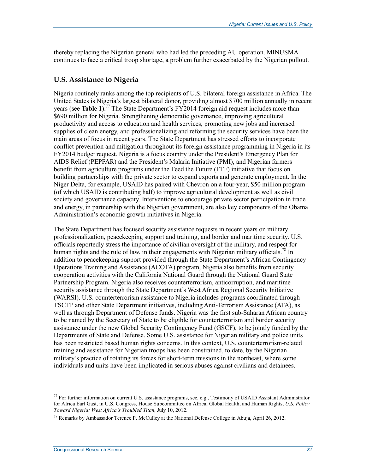thereby replacing the Nigerian general who had led the preceding AU operation. MINUSMA continues to face a critical troop shortage, a problem further exacerbated by the Nigerian pullout.

#### **U.S. Assistance to Nigeria**

Nigeria routinely ranks among the top recipients of U.S. bilateral foreign assistance in Africa. The United States is Nigeria's largest bilateral donor, providing almost \$700 million annually in recent years (see **Table 1**).77 The State Department's FY2014 foreign aid request includes more than \$690 million for Nigeria. Strengthening democratic governance, improving agricultural productivity and access to education and health services, promoting new jobs and increased supplies of clean energy, and professionalizing and reforming the security services have been the main areas of focus in recent years. The State Department has stressed efforts to incorporate conflict prevention and mitigation throughout its foreign assistance programming in Nigeria in its FY2014 budget request. Nigeria is a focus country under the President's Emergency Plan for AIDS Relief (PEPFAR) and the President's Malaria Initiative (PMI), and Nigerian farmers benefit from agriculture programs under the Feed the Future (FTF) initiative that focus on building partnerships with the private sector to expand exports and generate employment. In the Niger Delta, for example, USAID has paired with Chevron on a four-year, \$50 million program (of which USAID is contributing half) to improve agricultural development as well as civil society and governance capacity. Interventions to encourage private sector participation in trade and energy, in partnership with the Nigerian government, are also key components of the Obama Administration's economic growth initiatives in Nigeria.

The State Department has focused security assistance requests in recent years on military professionalization, peacekeeping support and training, and border and maritime security. U.S. officials reportedly stress the importance of civilian oversight of the military, and respect for human rights and the rule of law, in their engagements with Nigerian military officials.<sup>78</sup> In addition to peacekeeping support provided through the State Department's African Contingency Operations Training and Assistance (ACOTA) program, Nigeria also benefits from security cooperation activities with the California National Guard through the National Guard State Partnership Program. Nigeria also receives counterterrorism, anticorruption, and maritime security assistance through the State Department's West Africa Regional Security Initiative (WARSI). U.S. counterterrorism assistance to Nigeria includes programs coordinated through TSCTP and other State Department initiatives, including Anti-Terrorism Assistance (ATA), as well as through Department of Defense funds. Nigeria was the first sub-Saharan African country to be named by the Secretary of State to be eligible for counterterrorism and border security assistance under the new Global Security Contingency Fund (GSCF), to be jointly funded by the Departments of State and Defense. Some U.S. assistance for Nigerian military and police units has been restricted based human rights concerns. In this context, U.S. counterterrorism-related training and assistance for Nigerian troops has been constrained, to date, by the Nigerian military's practice of rotating its forces for short-term missions in the northeast, where some individuals and units have been implicated in serious abuses against civilians and detainees.

<sup>&</sup>lt;sup>77</sup> For further information on current U.S. assistance programs, see, e.g., Testimony of USAID Assistant Administrator for Africa Earl Gast, in U.S. Congress, House Subcommittee on Africa, Global Health, and Human Rights, *U.S. Policy Toward Nigeria: West Africa's Troubled Titan,* July 10, 2012.

<sup>78</sup> Remarks by Ambassador Terence P. McCulley at the National Defense College in Abuja, April 26, 2012.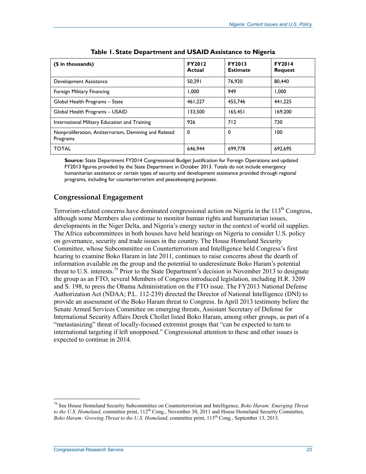| (\$ in thousands)                                                 | <b>FY2012</b><br>Actual | <b>FY2013</b><br><b>Estimate</b> | <b>FY2014</b><br><b>Request</b> |
|-------------------------------------------------------------------|-------------------------|----------------------------------|---------------------------------|
| Development Assistance                                            | 50.291                  | 76.920                           | 80.440                          |
| Foreign Military Financing                                        | 1.000                   | 949                              | 1.000                           |
| Global Health Programs - State                                    | 461.227                 | 455.746                          | 441.225                         |
| Global Health Programs - USAID                                    | 133.500                 | 165.451                          | 169.200                         |
| International Military Education and Training                     | 926                     | 712                              | 730                             |
| Nonproliferation, Antiterrorism, Demining and Related<br>Programs | 0                       | $\mathbf 0$                      | 100                             |
| <b>TOTAL</b>                                                      | 646.944                 | 699.778                          | 692,695                         |

**Source:** State Department FY2014 Congressional Budget Justification for Foreign Operations and updated FY2013 figures provided by the State Department in October 2013. Totals do not include emergency humanitarian assistance or certain types of security and development assistance provided through regional programs, including for counterterrorism and peacekeeping purposes.

#### **Congressional Engagement**

Terrorism-related concerns have dominated congressional action on Nigeria in the  $113<sup>th</sup>$  Congress, although some Members also continue to monitor human rights and humanitarian issues, developments in the Niger Delta, and Nigeria's energy sector in the context of world oil supplies. The Africa subcommittees in both houses have held hearings on Nigeria to consider U.S. policy on governance, security and trade issues in the country. The House Homeland Security Committee, whose Subcommittee on Counterterrorism and Intelligence held Congress's first hearing to examine Boko Haram in late 2011, continues to raise concerns about the dearth of information available on the group and the potential to underestimate Boko Haram's potential threat to U.S. interests.<sup>79</sup> Prior to the State Department's decision in November 2013 to designate the group as an FTO, several Members of Congress introduced legislation, including H.R. 3209 and S. 198, to press the Obama Administration on the FTO issue. The FY2013 National Defense Authorization Act (NDAA; P.L. 112-239) directed the Director of National Intelligence (DNI) to provide an assessment of the Boko Haram threat to Congress. In April 2013 testimony before the Senate Armed Services Committee on emerging threats, Assistant Secretary of Defense for International Security Affairs Derek Chollet listed Boko Haram, among other groups, as part of a "metastasizing" threat of locally-focused extremist groups that "can be expected to turn to international targeting if left unopposed." Congressional attention to these and other issues is expected to continue in 2014.

<sup>79</sup> See House Homeland Security Subcommittee on Counterterrorism and Intelligence, *Boko Haram: Emerging Threat*  to the U.S. Homeland, committee print, 112<sup>th</sup> Cong., November 30, 2011 and House Homeland Security Committee, *Boko Haram: Growing Threat to the U.S. Homeland*, committee print, 113<sup>th</sup> Cong., September 13, 2013.